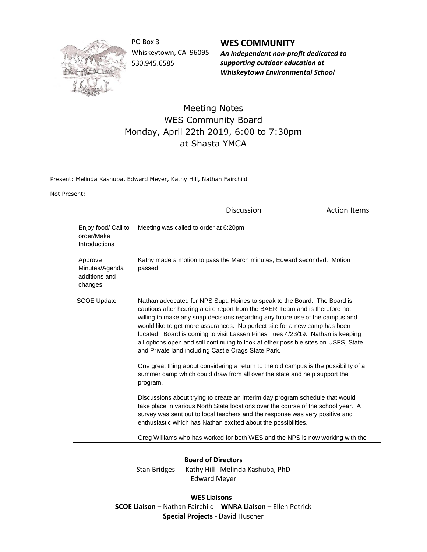

PO Box 3 Whiskeytown, CA 96095 530.945.6585

## **WES COMMUNITY**

*An independent non-profit dedicated to supporting outdoor education at Whiskeytown Environmental School*

## Meeting Notes WES Community Board Monday, April 22th 2019, 6:00 to 7:30pm at Shasta YMCA

Present: Melinda Kashuba, Edward Meyer, Kathy Hill, Nathan Fairchild

Not Present:

Discussion **Action Items** 

| Enjoy food/ Call to<br>order/Make<br><b>Introductions</b> | Meeting was called to order at 6:20pm                                                                                                                                                                                                                                                                                                                                                                                                                                                                                                                                                                                                                                                                                                                                                                                                                                                                                                                                                                                                                               |
|-----------------------------------------------------------|---------------------------------------------------------------------------------------------------------------------------------------------------------------------------------------------------------------------------------------------------------------------------------------------------------------------------------------------------------------------------------------------------------------------------------------------------------------------------------------------------------------------------------------------------------------------------------------------------------------------------------------------------------------------------------------------------------------------------------------------------------------------------------------------------------------------------------------------------------------------------------------------------------------------------------------------------------------------------------------------------------------------------------------------------------------------|
| Approve<br>Minutes/Agenda<br>additions and<br>changes     | Kathy made a motion to pass the March minutes, Edward seconded. Motion<br>passed.                                                                                                                                                                                                                                                                                                                                                                                                                                                                                                                                                                                                                                                                                                                                                                                                                                                                                                                                                                                   |
| <b>SCOE Update</b>                                        | Nathan advocated for NPS Supt. Hoines to speak to the Board. The Board is<br>cautious after hearing a dire report from the BAER Team and is therefore not<br>willing to make any snap decisions regarding any future use of the campus and<br>would like to get more assurances. No perfect site for a new camp has been<br>located. Board is coming to visit Lassen Pines Tues 4/23/19. Nathan is keeping<br>all options open and still continuing to look at other possible sites on USFS, State,<br>and Private land including Castle Crags State Park.<br>One great thing about considering a return to the old campus is the possibility of a<br>summer camp which could draw from all over the state and help support the<br>program.<br>Discussions about trying to create an interim day program schedule that would<br>take place in various North State locations over the course of the school year. A<br>survey was sent out to local teachers and the response was very positive and<br>enthusiastic which has Nathan excited about the possibilities. |
|                                                           | Greg Williams who has worked for both WES and the NPS is now working with the                                                                                                                                                                                                                                                                                                                                                                                                                                                                                                                                                                                                                                                                                                                                                                                                                                                                                                                                                                                       |

## **Board of Directors**

Stan Bridges Kathy Hill Melinda Kashuba, PhD Edward Meyer

**WES Liaisons** - **SCOE Liaison** – Nathan Fairchild **WNRA Liaison** – Ellen Petrick **Special Projects** - David Huscher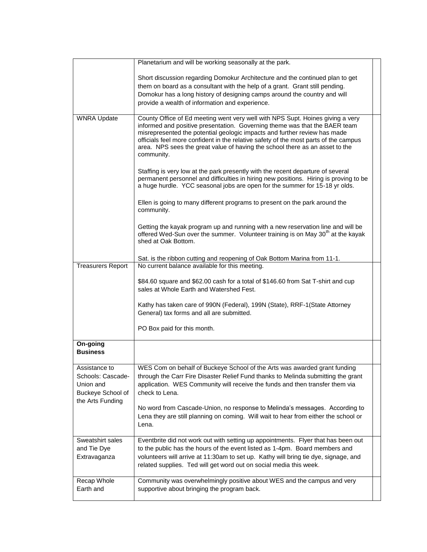|                                                                                          | Planetarium and will be working seasonally at the park.                                                                                                                                                                                                                                                                                                                                                                         |
|------------------------------------------------------------------------------------------|---------------------------------------------------------------------------------------------------------------------------------------------------------------------------------------------------------------------------------------------------------------------------------------------------------------------------------------------------------------------------------------------------------------------------------|
|                                                                                          | Short discussion regarding Domokur Architecture and the continued plan to get<br>them on board as a consultant with the help of a grant. Grant still pending.<br>Domokur has a long history of designing camps around the country and will<br>provide a wealth of information and experience.                                                                                                                                   |
| <b>WNRA Update</b>                                                                       | County Office of Ed meeting went very well with NPS Supt. Hoines giving a very<br>informed and positive presentation. Governing theme was that the BAER team<br>misrepresented the potential geologic impacts and further review has made<br>officials feel more confident in the relative safety of the most parts of the campus<br>area. NPS sees the great value of having the school there as an asset to the<br>community. |
|                                                                                          | Staffing is very low at the park presently with the recent departure of several<br>permanent personnel and difficulties in hiring new positions. Hiring is proving to be<br>a huge hurdle. YCC seasonal jobs are open for the summer for 15-18 yr olds.                                                                                                                                                                         |
|                                                                                          | Ellen is going to many different programs to present on the park around the<br>community.                                                                                                                                                                                                                                                                                                                                       |
|                                                                                          | Getting the kayak program up and running with a new reservation line and will be<br>offered Wed-Sun over the summer. Volunteer training is on May 30 <sup>th</sup> at the kayak<br>shed at Oak Bottom.                                                                                                                                                                                                                          |
| <b>Treasurers Report</b>                                                                 | Sat. is the ribbon cutting and reopening of Oak Bottom Marina from 11-1.<br>No current balance available for this meeting.                                                                                                                                                                                                                                                                                                      |
|                                                                                          | \$84.60 square and \$62.00 cash for a total of \$146.60 from Sat T-shirt and cup<br>sales at Whole Earth and Watershed Fest.                                                                                                                                                                                                                                                                                                    |
|                                                                                          | Kathy has taken care of 990N (Federal), 199N (State), RRF-1 (State Attorney<br>General) tax forms and all are submitted.                                                                                                                                                                                                                                                                                                        |
|                                                                                          | PO Box paid for this month.                                                                                                                                                                                                                                                                                                                                                                                                     |
| On-going<br><b>Business</b>                                                              |                                                                                                                                                                                                                                                                                                                                                                                                                                 |
| Assistance to<br>Schools: Cascade-<br>Union and<br>Buckeye School of<br>the Arts Funding | WES Com on behalf of Buckeye School of the Arts was awarded grant funding<br>through the Carr Fire Disaster Relief Fund thanks to Melinda submitting the grant<br>application. WES Community will receive the funds and then transfer them via<br>check to Lena.                                                                                                                                                                |
|                                                                                          | No word from Cascade-Union, no response to Melinda's messages. According to<br>Lena they are still planning on coming. Will wait to hear from either the school or<br>Lena.                                                                                                                                                                                                                                                     |
| Sweatshirt sales<br>and Tie Dye<br>Extravaganza                                          | Eventbrite did not work out with setting up appointments. Flyer that has been out<br>to the public has the hours of the event listed as 1-4pm. Board members and<br>volunteers will arrive at 11:30am to set up. Kathy will bring tie dye, signage, and<br>related supplies. Ted will get word out on social media this week.                                                                                                   |
| Recap Whole<br>Earth and                                                                 | Community was overwhelmingly positive about WES and the campus and very<br>supportive about bringing the program back.                                                                                                                                                                                                                                                                                                          |